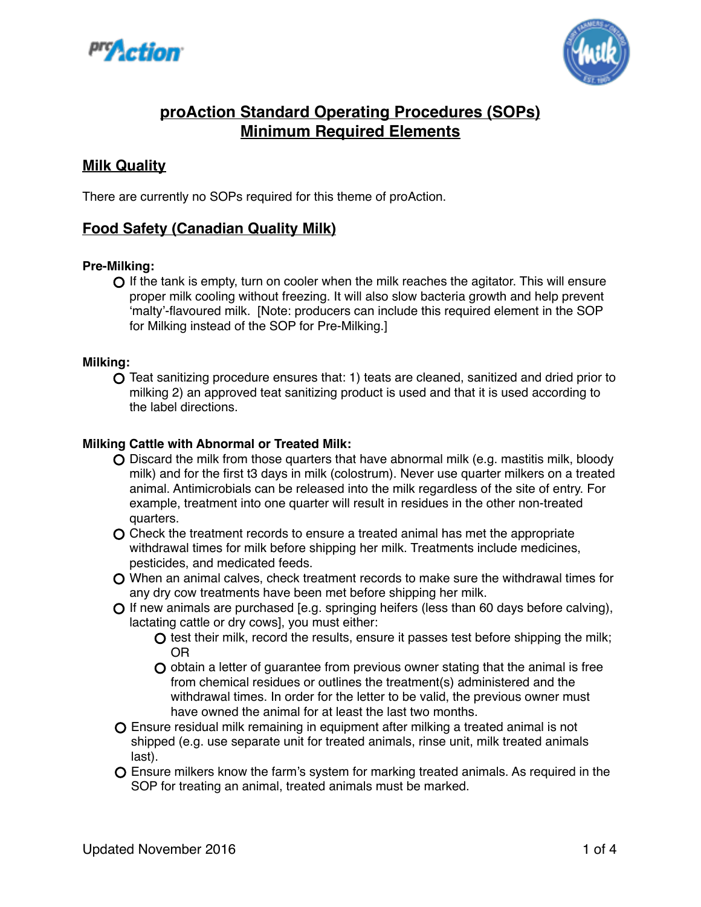



# **proAction Standard Operating Procedures (SOPs) Minimum Required Elements**

# **Milk Quality**

There are currently no SOPs required for this theme of proAction.

# **Food Safety (Canadian Quality Milk)**

#### **Pre-Milking:**

 $\Omega$  If the tank is empty, turn on cooler when the milk reaches the agitator. This will ensure proper milk cooling without freezing. It will also slow bacteria growth and help prevent 'malty'-flavoured milk. [Note: producers can include this required element in the SOP for Milking instead of the SOP for Pre-Milking.]

#### **Milking:**

Teat sanitizing procedure ensures that: 1) teats are cleaned, sanitized and dried prior to milking 2) an approved teat sanitizing product is used and that it is used according to the label directions.

#### **Milking Cattle with Abnormal or Treated Milk:**

- Discard the milk from those quarters that have abnormal milk (e.g. mastitis milk, bloody milk) and for the first t3 days in milk (colostrum). Never use quarter milkers on a treated animal. Antimicrobials can be released into the milk regardless of the site of entry. For example, treatment into one quarter will result in residues in the other non-treated quarters.
- Check the treatment records to ensure a treated animal has met the appropriate withdrawal times for milk before shipping her milk. Treatments include medicines, pesticides, and medicated feeds.
- When an animal calves, check treatment records to make sure the withdrawal times for any dry cow treatments have been met before shipping her milk.
- $\bigcirc$  If new animals are purchased [e.g. springing heifers (less than 60 days before calving), lactating cattle or dry cows], you must either:
	- $\Omega$  test their milk, record the results, ensure it passes test before shipping the milk; OR
	- $\Omega$  obtain a letter of quarantee from previous owner stating that the animal is free from chemical residues or outlines the treatment(s) administered and the withdrawal times. In order for the letter to be valid, the previous owner must have owned the animal for at least the last two months.
- Ensure residual milk remaining in equipment after milking a treated animal is not shipped (e.g. use separate unit for treated animals, rinse unit, milk treated animals last).
- Ensure milkers know the farm's system for marking treated animals. As required in the SOP for treating an animal, treated animals must be marked.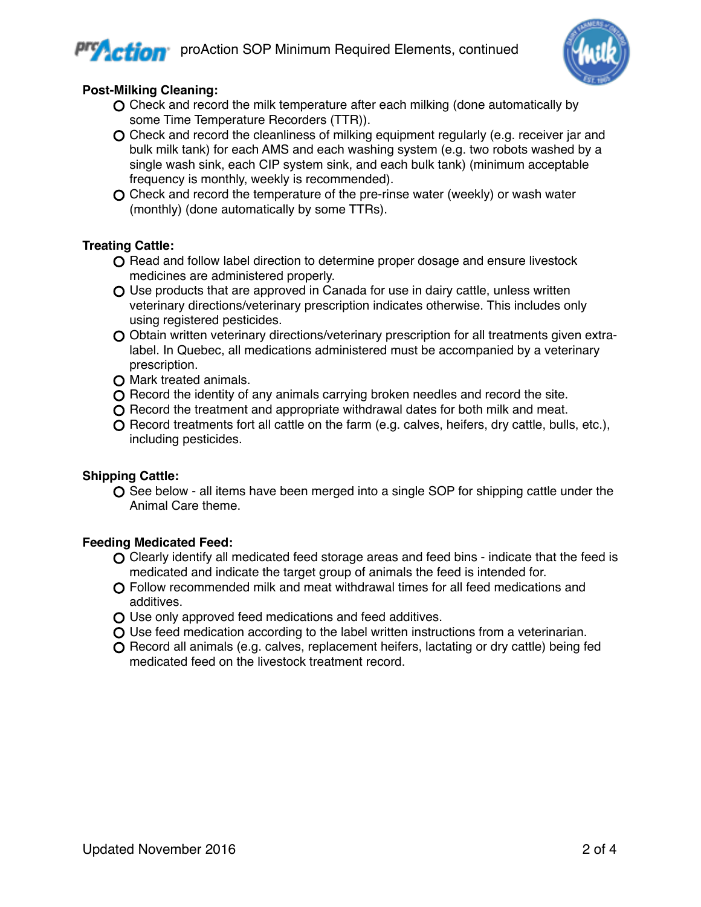

## **Post-Milking Cleaning:**

- O Check and record the milk temperature after each milking (done automatically by some Time Temperature Recorders (TTR)).
- Check and record the cleanliness of milking equipment regularly (e.g. receiver jar and bulk milk tank) for each AMS and each washing system (e.g. two robots washed by a single wash sink, each CIP system sink, and each bulk tank) (minimum acceptable frequency is monthly, weekly is recommended).
- Check and record the temperature of the pre-rinse water (weekly) or wash water (monthly) (done automatically by some TTRs).

# **Treating Cattle:**

- Q Read and follow label direction to determine proper dosage and ensure livestock medicines are administered properly.
- $\Omega$  Use products that are approved in Canada for use in dairy cattle, unless written veterinary directions/veterinary prescription indicates otherwise. This includes only using registered pesticides.
- O Obtain written veterinary directions/veterinary prescription for all treatments given extralabel. In Quebec, all medications administered must be accompanied by a veterinary prescription.
- O Mark treated animals.
- $\Omega$  Record the identity of any animals carrying broken needles and record the site.
- O Record the treatment and appropriate withdrawal dates for both milk and meat.
- $\Omega$  Record treatments fort all cattle on the farm (e.g. calves, heifers, dry cattle, bulls, etc.), including pesticides.

#### **Shipping Cattle:**

 $\bigcirc$  See below - all items have been merged into a single SOP for shipping cattle under the Animal Care theme.

# **Feeding Medicated Feed:**

- Clearly identify all medicated feed storage areas and feed bins indicate that the feed is medicated and indicate the target group of animals the feed is intended for.
- Follow recommended milk and meat withdrawal times for all feed medications and additives.
- Use only approved feed medications and feed additives.
- Use feed medication according to the label written instructions from a veterinarian.
- $\Omega$  Record all animals (e.g. calves, replacement heifers, lactating or dry cattle) being fed medicated feed on the livestock treatment record.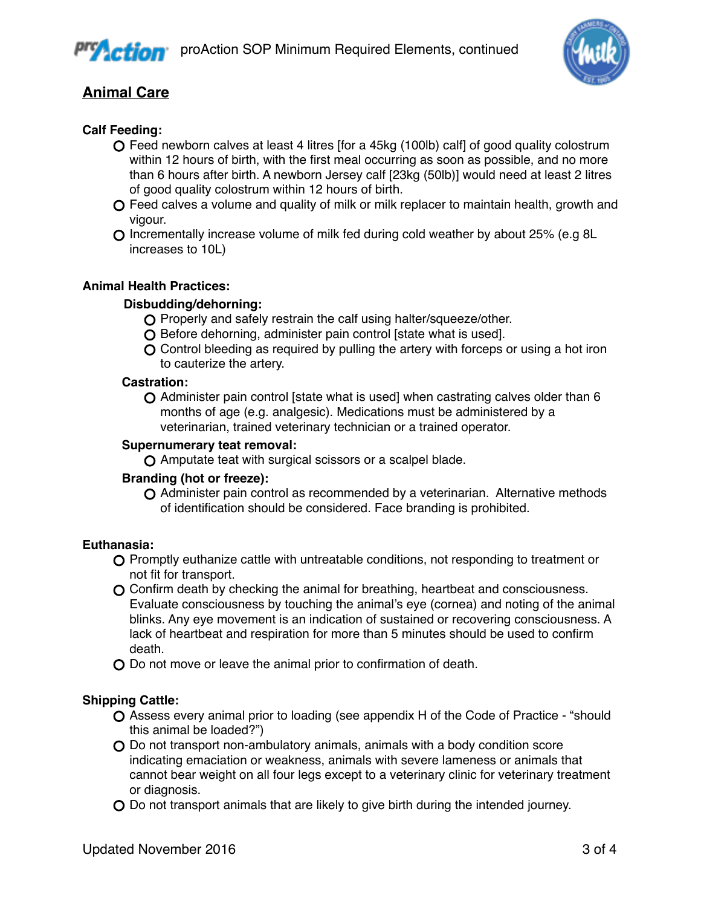



# **Animal Care**

## **Calf Feeding:**

- Feed newborn calves at least 4 litres [for a 45kg (100lb) calf] of good quality colostrum within 12 hours of birth, with the first meal occurring as soon as possible, and no more than 6 hours after birth. A newborn Jersey calf [23kg (50lb)] would need at least 2 litres of good quality colostrum within 12 hours of birth.
- O Feed calves a volume and quality of milk or milk replacer to maintain health, growth and vigour.
- Incrementally increase volume of milk fed during cold weather by about 25% (e.g 8L increases to 10L)

#### **Animal Health Practices:**

#### **Disbudding/dehorning:**

- O Properly and safely restrain the calf using halter/squeeze/other.
- O Before dehorning, administer pain control [state what is used].
- Control bleeding as required by pulling the artery with forceps or using a hot iron to cauterize the artery.

#### **Castration:**

Administer pain control [state what is used] when castrating calves older than 6 months of age (e.g. analgesic). Medications must be administered by a veterinarian, trained veterinary technician or a trained operator.

#### **Supernumerary teat removal:**

Amputate teat with surgical scissors or a scalpel blade.

#### **Branding (hot or freeze):**

Administer pain control as recommended by a veterinarian. Alternative methods of identification should be considered. Face branding is prohibited.

#### **Euthanasia:**

- Promptly euthanize cattle with untreatable conditions, not responding to treatment or not fit for transport.
- Confirm death by checking the animal for breathing, heartbeat and consciousness. Evaluate consciousness by touching the animal's eye (cornea) and noting of the animal blinks. Any eye movement is an indication of sustained or recovering consciousness. A lack of heartbeat and respiration for more than 5 minutes should be used to confirm death.
- O Do not move or leave the animal prior to confirmation of death.

#### **Shipping Cattle:**

- Assess every animal prior to loading (see appendix H of the Code of Practice "should this animal be loaded?")
- Do not transport non-ambulatory animals, animals with a body condition score indicating emaciation or weakness, animals with severe lameness or animals that cannot bear weight on all four legs except to a veterinary clinic for veterinary treatment or diagnosis.
- Do not transport animals that are likely to give birth during the intended journey.